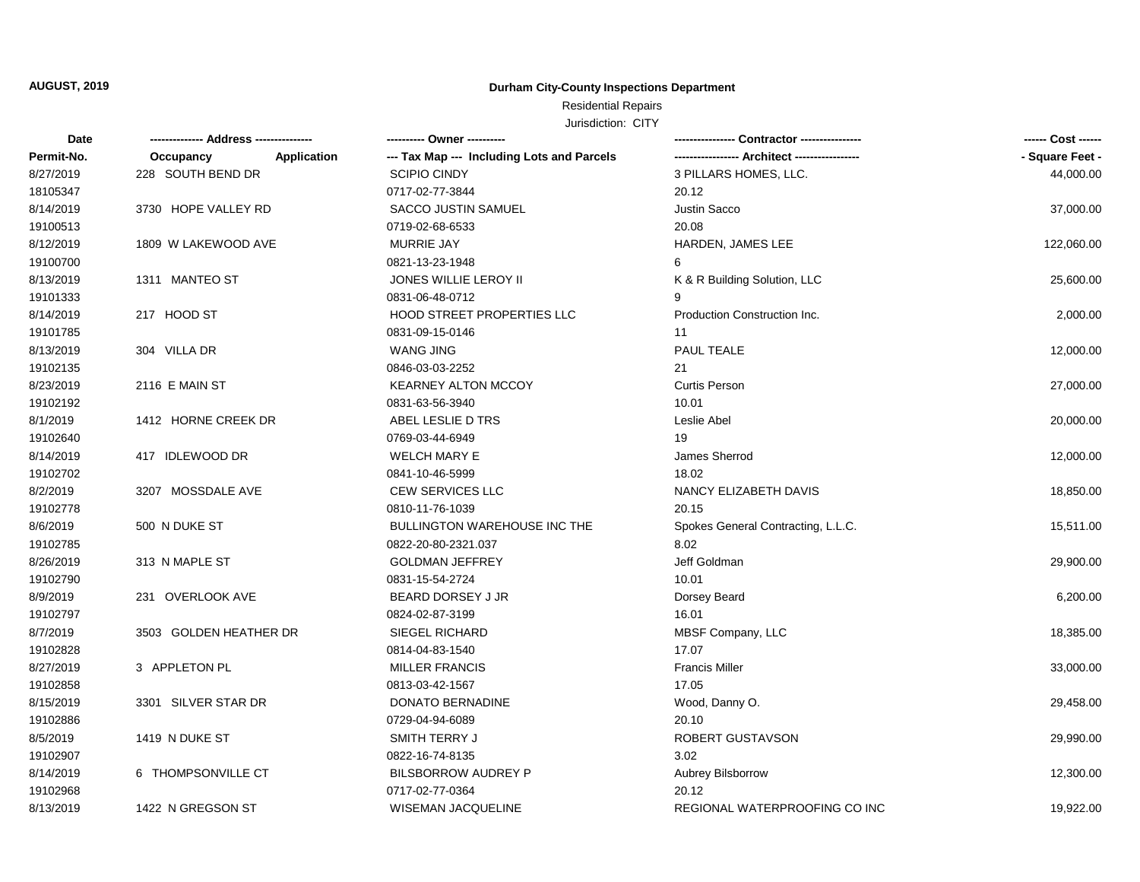## **Durham City-County Inspections Department**

# Residential Repairs

| Date       |                          | ---------- Owner ----------                |                                    | ------ Cost ------ |
|------------|--------------------------|--------------------------------------------|------------------------------------|--------------------|
| Permit-No. | Occupancy<br>Application | --- Tax Map --- Including Lots and Parcels |                                    | - Square Feet -    |
| 8/27/2019  | 228 SOUTH BEND DR        | <b>SCIPIO CINDY</b>                        | 3 PILLARS HOMES, LLC.              | 44,000.00          |
| 18105347   |                          | 0717-02-77-3844                            | 20.12                              |                    |
| 8/14/2019  | 3730 HOPE VALLEY RD      | SACCO JUSTIN SAMUEL                        | <b>Justin Sacco</b>                | 37,000.00          |
| 19100513   |                          | 0719-02-68-6533                            | 20.08                              |                    |
| 8/12/2019  | 1809 W LAKEWOOD AVE      | <b>MURRIE JAY</b>                          | HARDEN, JAMES LEE                  | 122,060.00         |
| 19100700   |                          | 0821-13-23-1948                            | 6                                  |                    |
| 8/13/2019  | 1311 MANTEO ST           | JONES WILLIE LEROY II                      | K & R Building Solution, LLC       | 25,600.00          |
| 19101333   |                          | 0831-06-48-0712                            | 9                                  |                    |
| 8/14/2019  | 217 HOOD ST              | <b>HOOD STREET PROPERTIES LLC</b>          | Production Construction Inc.       | 2,000.00           |
| 19101785   |                          | 0831-09-15-0146                            | 11                                 |                    |
| 8/13/2019  | 304 VILLA DR             | <b>WANG JING</b>                           | <b>PAUL TEALE</b>                  | 12,000.00          |
| 19102135   |                          | 0846-03-03-2252                            | 21                                 |                    |
| 8/23/2019  | 2116 E MAIN ST           | <b>KEARNEY ALTON MCCOY</b>                 | <b>Curtis Person</b>               | 27,000.00          |
| 19102192   |                          | 0831-63-56-3940                            | 10.01                              |                    |
| 8/1/2019   | 1412 HORNE CREEK DR      | ABEL LESLIE D TRS                          | Leslie Abel                        | 20,000.00          |
| 19102640   |                          | 0769-03-44-6949                            | 19                                 |                    |
| 8/14/2019  | 417 IDLEWOOD DR          | <b>WELCH MARY E</b>                        | James Sherrod                      | 12,000.00          |
| 19102702   |                          | 0841-10-46-5999                            | 18.02                              |                    |
| 8/2/2019   | 3207 MOSSDALE AVE        | <b>CEW SERVICES LLC</b>                    | NANCY ELIZABETH DAVIS              | 18,850.00          |
| 19102778   |                          | 0810-11-76-1039                            | 20.15                              |                    |
| 8/6/2019   | 500 N DUKE ST            | <b>BULLINGTON WAREHOUSE INC THE</b>        | Spokes General Contracting, L.L.C. | 15,511.00          |
| 19102785   |                          | 0822-20-80-2321.037                        | 8.02                               |                    |
| 8/26/2019  | 313 N MAPLE ST           | <b>GOLDMAN JEFFREY</b>                     | Jeff Goldman                       | 29,900.00          |
| 19102790   |                          | 0831-15-54-2724                            | 10.01                              |                    |
| 8/9/2019   | 231 OVERLOOK AVE         | BEARD DORSEY J JR                          | Dorsey Beard                       | 6,200.00           |
| 19102797   |                          | 0824-02-87-3199                            | 16.01                              |                    |
| 8/7/2019   | 3503 GOLDEN HEATHER DR   | <b>SIEGEL RICHARD</b>                      | MBSF Company, LLC                  | 18,385.00          |
| 19102828   |                          | 0814-04-83-1540                            | 17.07                              |                    |
| 8/27/2019  | 3 APPLETON PL            | <b>MILLER FRANCIS</b>                      | <b>Francis Miller</b>              | 33,000.00          |
| 19102858   |                          | 0813-03-42-1567                            | 17.05                              |                    |
| 8/15/2019  | 3301 SILVER STAR DR      | DONATO BERNADINE                           | Wood, Danny O.                     | 29,458.00          |
| 19102886   |                          | 0729-04-94-6089                            | 20.10                              |                    |
| 8/5/2019   | 1419 N DUKE ST           | SMITH TERRY J                              | ROBERT GUSTAVSON                   | 29,990.00          |
| 19102907   |                          | 0822-16-74-8135                            | 3.02                               |                    |
| 8/14/2019  | 6 THOMPSONVILLE CT       | <b>BILSBORROW AUDREY P</b>                 | Aubrey Bilsborrow                  | 12,300.00          |
| 19102968   |                          | 0717-02-77-0364                            | 20.12                              |                    |
| 8/13/2019  | 1422 N GREGSON ST        | WISEMAN JACQUELINE                         | REGIONAL WATERPROOFING CO INC      | 19,922.00          |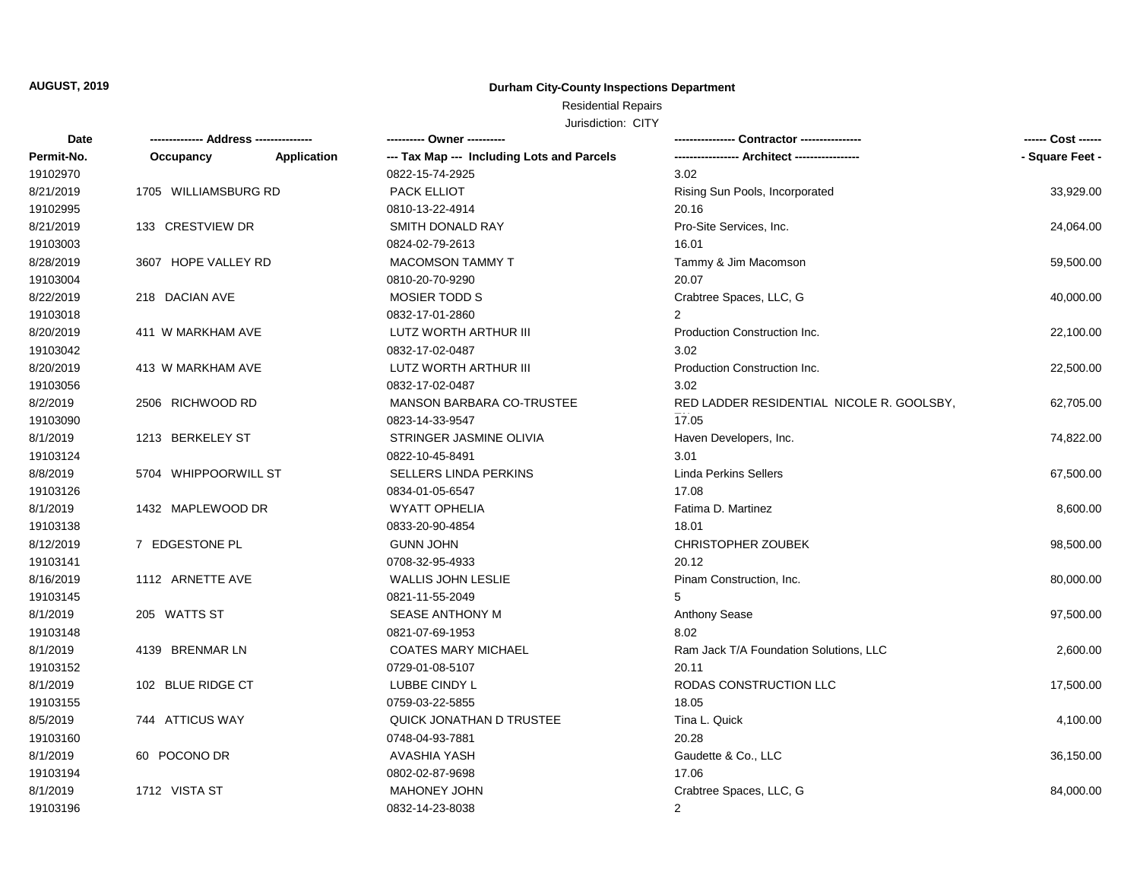## **Durham City-County Inspections Department**

# Residential Repairs

| Date       |                      |             | ---------- Owner ----------                |                                           | ------ Cost ------ |
|------------|----------------------|-------------|--------------------------------------------|-------------------------------------------|--------------------|
| Permit-No. | Occupancy            | Application | --- Tax Map --- Including Lots and Parcels |                                           | - Square Feet -    |
| 19102970   |                      |             | 0822-15-74-2925                            | 3.02                                      |                    |
| 8/21/2019  | 1705 WILLIAMSBURG RD |             | PACK ELLIOT                                | Rising Sun Pools, Incorporated            | 33,929.00          |
| 19102995   |                      |             | 0810-13-22-4914                            | 20.16                                     |                    |
| 8/21/2019  | 133 CRESTVIEW DR     |             | SMITH DONALD RAY                           | Pro-Site Services, Inc.                   | 24,064.00          |
| 19103003   |                      |             | 0824-02-79-2613                            | 16.01                                     |                    |
| 8/28/2019  | 3607 HOPE VALLEY RD  |             | <b>MACOMSON TAMMY T</b>                    | Tammy & Jim Macomson                      | 59,500.00          |
| 19103004   |                      |             | 0810-20-70-9290                            | 20.07                                     |                    |
| 8/22/2019  | 218 DACIAN AVE       |             | <b>MOSIER TODD S</b>                       | Crabtree Spaces, LLC, G                   | 40,000.00          |
| 19103018   |                      |             | 0832-17-01-2860                            | $\overline{2}$                            |                    |
| 8/20/2019  | 411 W MARKHAM AVE    |             | LUTZ WORTH ARTHUR III                      | Production Construction Inc.              | 22,100.00          |
| 19103042   |                      |             | 0832-17-02-0487                            | 3.02                                      |                    |
| 8/20/2019  | 413 W MARKHAM AVE    |             | LUTZ WORTH ARTHUR III                      | Production Construction Inc.              | 22,500.00          |
| 19103056   |                      |             | 0832-17-02-0487                            | 3.02                                      |                    |
| 8/2/2019   | 2506 RICHWOOD RD     |             | MANSON BARBARA CO-TRUSTEE                  | RED LADDER RESIDENTIAL NICOLE R. GOOLSBY, | 62,705.00          |
| 19103090   |                      |             | 0823-14-33-9547                            | 17.05                                     |                    |
| 8/1/2019   | 1213 BERKELEY ST     |             | STRINGER JASMINE OLIVIA                    | Haven Developers, Inc.                    | 74,822.00          |
| 19103124   |                      |             | 0822-10-45-8491                            | 3.01                                      |                    |
| 8/8/2019   | 5704 WHIPPOORWILL ST |             | <b>SELLERS LINDA PERKINS</b>               | <b>Linda Perkins Sellers</b>              | 67,500.00          |
| 19103126   |                      |             | 0834-01-05-6547                            | 17.08                                     |                    |
| 8/1/2019   | 1432 MAPLEWOOD DR    |             | <b>WYATT OPHELIA</b>                       | Fatima D. Martinez                        | 8,600.00           |
| 19103138   |                      |             | 0833-20-90-4854                            | 18.01                                     |                    |
| 8/12/2019  | 7 EDGESTONE PL       |             | <b>GUNN JOHN</b>                           | CHRISTOPHER ZOUBEK                        | 98,500.00          |
| 19103141   |                      |             | 0708-32-95-4933                            | 20.12                                     |                    |
| 8/16/2019  | 1112 ARNETTE AVE     |             | <b>WALLIS JOHN LESLIE</b>                  | Pinam Construction, Inc.                  | 80,000.00          |
| 19103145   |                      |             | 0821-11-55-2049                            | 5                                         |                    |
| 8/1/2019   | 205 WATTS ST         |             | SEASE ANTHONY M                            | Anthony Sease                             | 97,500.00          |
| 19103148   |                      |             | 0821-07-69-1953                            | 8.02                                      |                    |
| 8/1/2019   | 4139 BRENMAR LN      |             | <b>COATES MARY MICHAEL</b>                 | Ram Jack T/A Foundation Solutions, LLC    | 2,600.00           |
| 19103152   |                      |             | 0729-01-08-5107                            | 20.11                                     |                    |
| 8/1/2019   | 102 BLUE RIDGE CT    |             | LUBBE CINDY L                              | RODAS CONSTRUCTION LLC                    | 17,500.00          |
| 19103155   |                      |             | 0759-03-22-5855                            | 18.05                                     |                    |
| 8/5/2019   | 744 ATTICUS WAY      |             | <b>QUICK JONATHAN D TRUSTEE</b>            | Tina L. Quick                             | 4,100.00           |
| 19103160   |                      |             | 0748-04-93-7881                            | 20.28                                     |                    |
| 8/1/2019   | 60 POCONO DR         |             | <b>AVASHIA YASH</b>                        | Gaudette & Co., LLC                       | 36,150.00          |
| 19103194   |                      |             | 0802-02-87-9698                            | 17.06                                     |                    |
| 8/1/2019   | 1712 VISTA ST        |             | <b>MAHONEY JOHN</b>                        | Crabtree Spaces, LLC, G                   | 84,000.00          |
| 19103196   |                      |             | 0832-14-23-8038                            | 2                                         |                    |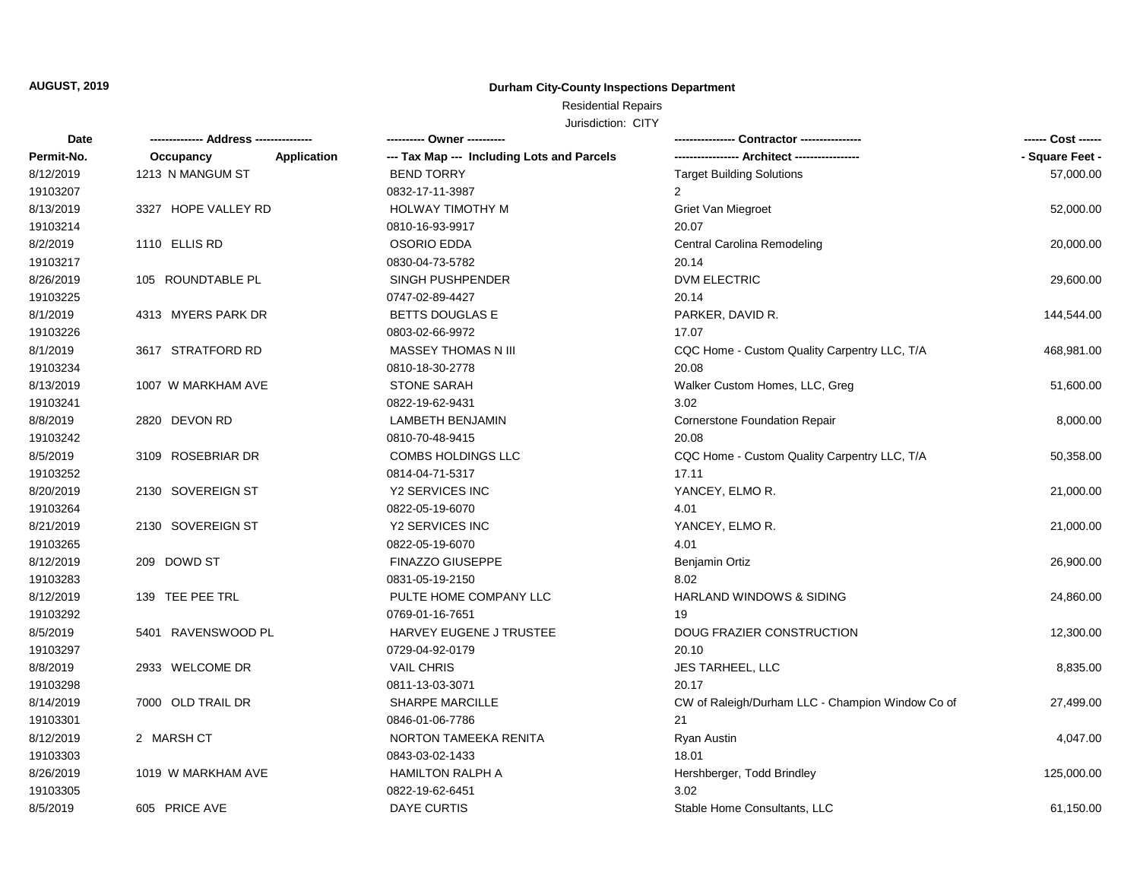## **Durham City-County Inspections Department**

Residential Repairs

| Date       |                     |             | --------- Owner ---------                  |                                                  |                 |
|------------|---------------------|-------------|--------------------------------------------|--------------------------------------------------|-----------------|
| Permit-No. | Occupancy           | Application | --- Tax Map --- Including Lots and Parcels | ----------------- Architect -----------------    | - Square Feet - |
| 8/12/2019  | 1213 N MANGUM ST    |             | <b>BEND TORRY</b>                          | <b>Target Building Solutions</b>                 | 57,000.00       |
| 19103207   |                     |             | 0832-17-11-3987                            | $\overline{2}$                                   |                 |
| 8/13/2019  | 3327 HOPE VALLEY RD |             | HOLWAY TIMOTHY M                           | Griet Van Miegroet                               | 52,000.00       |
| 19103214   |                     |             | 0810-16-93-9917                            | 20.07                                            |                 |
| 8/2/2019   | 1110 ELLIS RD       |             | <b>OSORIO EDDA</b>                         | Central Carolina Remodeling                      | 20,000.00       |
| 19103217   |                     |             | 0830-04-73-5782                            | 20.14                                            |                 |
| 8/26/2019  | 105 ROUNDTABLE PL   |             | SINGH PUSHPENDER                           | DVM ELECTRIC                                     | 29,600.00       |
| 19103225   |                     |             | 0747-02-89-4427                            | 20.14                                            |                 |
| 8/1/2019   | 4313 MYERS PARK DR  |             | <b>BETTS DOUGLAS E</b>                     | PARKER, DAVID R.                                 | 144,544.00      |
| 19103226   |                     |             | 0803-02-66-9972                            | 17.07                                            |                 |
| 8/1/2019   | 3617 STRATFORD RD   |             | MASSEY THOMAS N III                        | CQC Home - Custom Quality Carpentry LLC, T/A     | 468,981.00      |
| 19103234   |                     |             | 0810-18-30-2778                            | 20.08                                            |                 |
| 8/13/2019  | 1007 W MARKHAM AVE  |             | <b>STONE SARAH</b>                         | Walker Custom Homes, LLC, Greg                   | 51,600.00       |
| 19103241   |                     |             | 0822-19-62-9431                            | 3.02                                             |                 |
| 8/8/2019   | 2820 DEVON RD       |             | <b>LAMBETH BENJAMIN</b>                    | <b>Cornerstone Foundation Repair</b>             | 8,000.00        |
| 19103242   |                     |             | 0810-70-48-9415                            | 20.08                                            |                 |
| 8/5/2019   | 3109 ROSEBRIAR DR   |             | COMBS HOLDINGS LLC                         | CQC Home - Custom Quality Carpentry LLC, T/A     | 50,358.00       |
| 19103252   |                     |             | 0814-04-71-5317                            | 17.11                                            |                 |
| 8/20/2019  | 2130 SOVEREIGN ST   |             | <b>Y2 SERVICES INC</b>                     | YANCEY, ELMOR.                                   | 21,000.00       |
| 19103264   |                     |             | 0822-05-19-6070                            | 4.01                                             |                 |
| 8/21/2019  | 2130 SOVEREIGN ST   |             | Y2 SERVICES INC                            | YANCEY, ELMO R.                                  | 21,000.00       |
| 19103265   |                     |             | 0822-05-19-6070                            | 4.01                                             |                 |
| 8/12/2019  | 209 DOWD ST         |             | <b>FINAZZO GIUSEPPE</b>                    | Benjamin Ortiz                                   | 26,900.00       |
| 19103283   |                     |             | 0831-05-19-2150                            | 8.02                                             |                 |
| 8/12/2019  | 139 TEE PEE TRL     |             | PULTE HOME COMPANY LLC                     | HARLAND WINDOWS & SIDING                         | 24,860.00       |
| 19103292   |                     |             | 0769-01-16-7651                            | 19                                               |                 |
| 8/5/2019   | 5401 RAVENSWOOD PL  |             | HARVEY EUGENE J TRUSTEE                    | DOUG FRAZIER CONSTRUCTION                        | 12,300.00       |
| 19103297   |                     |             | 0729-04-92-0179                            | 20.10                                            |                 |
| 8/8/2019   | 2933 WELCOME DR     |             | <b>VAIL CHRIS</b>                          | JES TARHEEL, LLC                                 | 8,835.00        |
| 19103298   |                     |             | 0811-13-03-3071                            | 20.17                                            |                 |
| 8/14/2019  | 7000 OLD TRAIL DR   |             | <b>SHARPE MARCILLE</b>                     | CW of Raleigh/Durham LLC - Champion Window Co of | 27,499.00       |
| 19103301   |                     |             | 0846-01-06-7786                            | 21                                               |                 |
| 8/12/2019  | 2 MARSH CT          |             | NORTON TAMEEKA RENITA                      | Ryan Austin                                      | 4,047.00        |
| 19103303   |                     |             | 0843-03-02-1433                            | 18.01                                            |                 |
| 8/26/2019  | 1019 W MARKHAM AVE  |             | <b>HAMILTON RALPH A</b>                    | Hershberger, Todd Brindley                       | 125,000.00      |
| 19103305   |                     |             | 0822-19-62-6451                            | 3.02                                             |                 |
| 8/5/2019   | 605 PRICE AVE       |             | <b>DAYE CURTIS</b>                         | Stable Home Consultants, LLC                     | 61,150.00       |
|            |                     |             |                                            |                                                  |                 |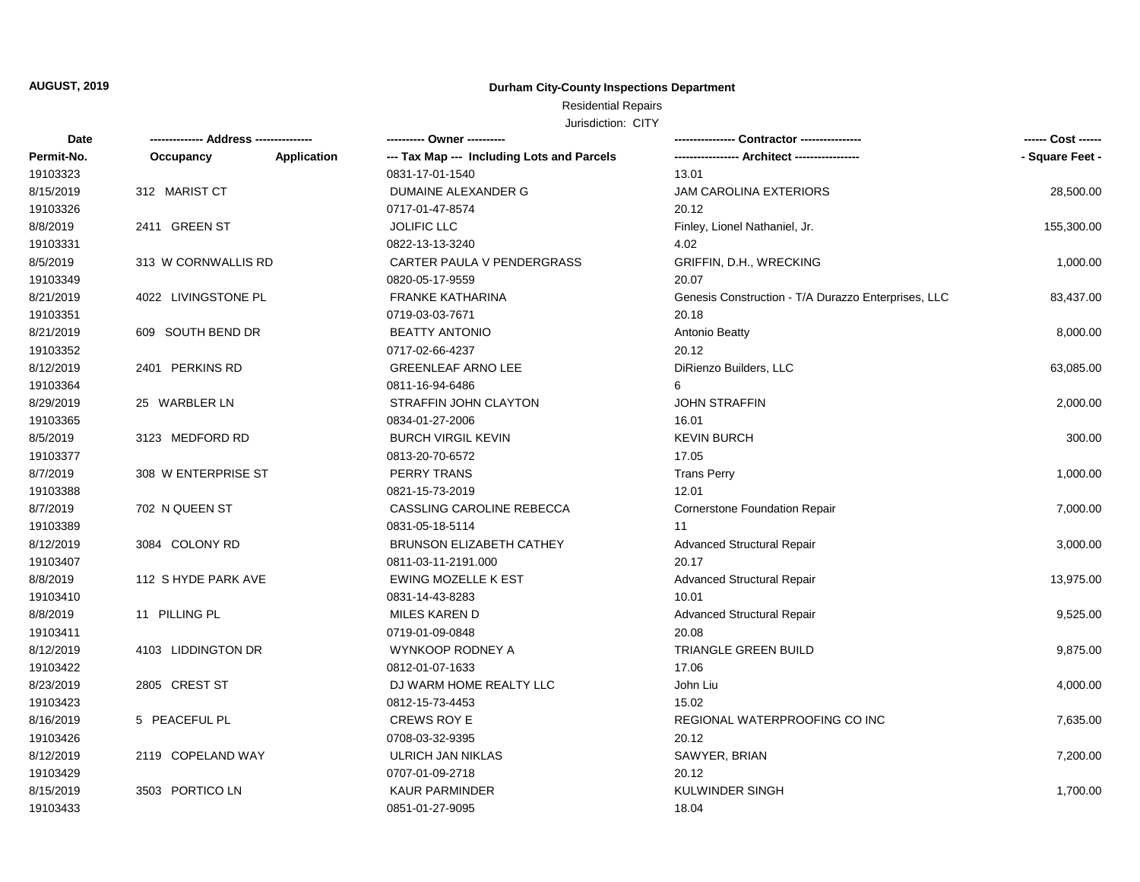## **Durham City-County Inspections Department**

# Residential Repairs

| Date       | -------------- Address --------------- |             | ---------- Owner ----------                |                                                     | ------ Cost ------ |
|------------|----------------------------------------|-------------|--------------------------------------------|-----------------------------------------------------|--------------------|
| Permit-No. | Occupancy                              | Application | --- Tax Map --- Including Lots and Parcels |                                                     | - Square Feet -    |
| 19103323   |                                        |             | 0831-17-01-1540                            | 13.01                                               |                    |
| 8/15/2019  | 312 MARIST CT                          |             | DUMAINE ALEXANDER G                        | JAM CAROLINA EXTERIORS                              | 28,500.00          |
| 19103326   |                                        |             | 0717-01-47-8574                            | 20.12                                               |                    |
| 8/8/2019   | 2411 GREEN ST                          |             | <b>JOLIFIC LLC</b>                         | Finley, Lionel Nathaniel, Jr.                       | 155,300.00         |
| 19103331   |                                        |             | 0822-13-13-3240                            | 4.02                                                |                    |
| 8/5/2019   | 313 W CORNWALLIS RD                    |             | CARTER PAULA V PENDERGRASS                 | GRIFFIN, D.H., WRECKING                             | 1,000.00           |
| 19103349   |                                        |             | 0820-05-17-9559                            | 20.07                                               |                    |
| 8/21/2019  | 4022 LIVINGSTONE PL                    |             | <b>FRANKE KATHARINA</b>                    | Genesis Construction - T/A Durazzo Enterprises, LLC | 83,437.00          |
| 19103351   |                                        |             | 0719-03-03-7671                            | 20.18                                               |                    |
| 8/21/2019  | 609 SOUTH BEND DR                      |             | <b>BEATTY ANTONIO</b>                      | Antonio Beatty                                      | 8,000.00           |
| 19103352   |                                        |             | 0717-02-66-4237                            | 20.12                                               |                    |
| 8/12/2019  | 2401 PERKINS RD                        |             | <b>GREENLEAF ARNO LEE</b>                  | DiRienzo Builders, LLC                              | 63,085.00          |
| 19103364   |                                        |             | 0811-16-94-6486                            | 6                                                   |                    |
| 8/29/2019  | 25 WARBLER LN                          |             | STRAFFIN JOHN CLAYTON                      | <b>JOHN STRAFFIN</b>                                | 2,000.00           |
| 19103365   |                                        |             | 0834-01-27-2006                            | 16.01                                               |                    |
| 8/5/2019   | 3123 MEDFORD RD                        |             | <b>BURCH VIRGIL KEVIN</b>                  | <b>KEVIN BURCH</b>                                  | 300.00             |
| 19103377   |                                        |             | 0813-20-70-6572                            | 17.05                                               |                    |
| 8/7/2019   | 308 W ENTERPRISE ST                    |             | <b>PERRY TRANS</b>                         | <b>Trans Perry</b>                                  | 1,000.00           |
| 19103388   |                                        |             | 0821-15-73-2019                            | 12.01                                               |                    |
| 8/7/2019   | 702 N QUEEN ST                         |             | CASSLING CAROLINE REBECCA                  | <b>Cornerstone Foundation Repair</b>                | 7,000.00           |
| 19103389   |                                        |             | 0831-05-18-5114                            | 11                                                  |                    |
| 8/12/2019  | 3084 COLONY RD                         |             | BRUNSON ELIZABETH CATHEY                   | <b>Advanced Structural Repair</b>                   | 3,000.00           |
| 19103407   |                                        |             | 0811-03-11-2191.000                        | 20.17                                               |                    |
| 8/8/2019   | 112 S HYDE PARK AVE                    |             | EWING MOZELLE K EST                        | <b>Advanced Structural Repair</b>                   | 13,975.00          |
| 19103410   |                                        |             | 0831-14-43-8283                            | 10.01                                               |                    |
| 8/8/2019   | 11 PILLING PL                          |             | <b>MILES KAREN D</b>                       | <b>Advanced Structural Repair</b>                   | 9,525.00           |
| 19103411   |                                        |             | 0719-01-09-0848                            | 20.08                                               |                    |
| 8/12/2019  | 4103 LIDDINGTON DR                     |             | WYNKOOP RODNEY A                           | TRIANGLE GREEN BUILD                                | 9,875.00           |
| 19103422   |                                        |             | 0812-01-07-1633                            | 17.06                                               |                    |
| 8/23/2019  | 2805 CREST ST                          |             | DJ WARM HOME REALTY LLC                    | John Liu                                            | 4,000.00           |
| 19103423   |                                        |             | 0812-15-73-4453                            | 15.02                                               |                    |
| 8/16/2019  | 5 PEACEFUL PL                          |             | <b>CREWS ROY E</b>                         | REGIONAL WATERPROOFING CO INC                       | 7,635.00           |
| 19103426   |                                        |             | 0708-03-32-9395                            | 20.12                                               |                    |
| 8/12/2019  | 2119 COPELAND WAY                      |             | ULRICH JAN NIKLAS                          | SAWYER, BRIAN                                       | 7,200.00           |
| 19103429   |                                        |             | 0707-01-09-2718                            | 20.12                                               |                    |
| 8/15/2019  | 3503 PORTICO LN                        |             | <b>KAUR PARMINDER</b>                      | <b>KULWINDER SINGH</b>                              | 1,700.00           |
| 19103433   |                                        |             | 0851-01-27-9095                            | 18.04                                               |                    |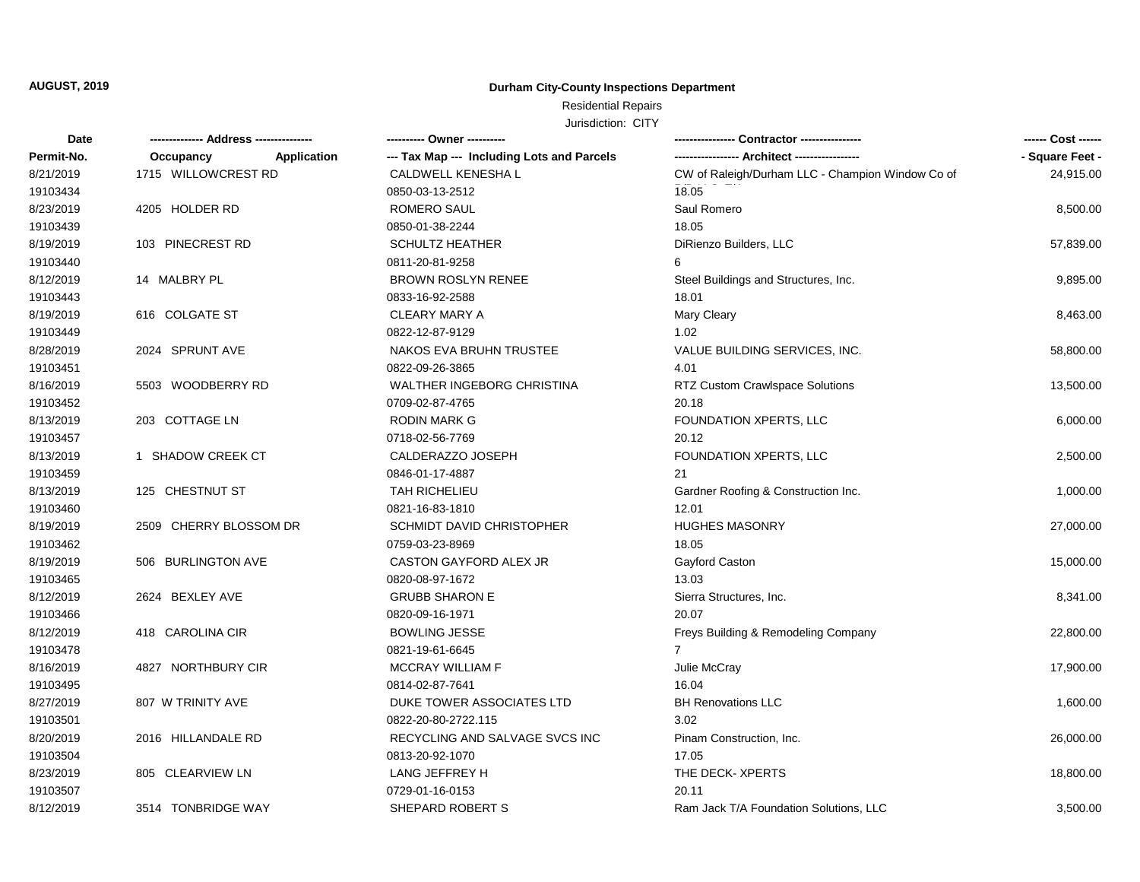## **Durham City-County Inspections Department**

# Residential Repairs

| Date       |                          | ---------- Owner ----------                |                                                  |                 |
|------------|--------------------------|--------------------------------------------|--------------------------------------------------|-----------------|
| Permit-No. | Occupancy<br>Application | --- Tax Map --- Including Lots and Parcels |                                                  | - Square Feet - |
| 8/21/2019  | 1715 WILLOWCREST RD      | CALDWELL KENESHA L                         | CW of Raleigh/Durham LLC - Champion Window Co of | 24,915.00       |
| 19103434   |                          | 0850-03-13-2512                            | 18.05                                            |                 |
| 8/23/2019  | 4205 HOLDER RD           | <b>ROMERO SAUL</b>                         | Saul Romero                                      | 8,500.00        |
| 19103439   |                          | 0850-01-38-2244                            | 18.05                                            |                 |
| 8/19/2019  | 103 PINECREST RD         | <b>SCHULTZ HEATHER</b>                     | DiRienzo Builders, LLC                           | 57,839.00       |
| 19103440   |                          | 0811-20-81-9258                            | 6                                                |                 |
| 8/12/2019  | 14 MALBRY PL             | <b>BROWN ROSLYN RENEE</b>                  | Steel Buildings and Structures, Inc.             | 9,895.00        |
| 19103443   |                          | 0833-16-92-2588                            | 18.01                                            |                 |
| 8/19/2019  | 616 COLGATE ST           | <b>CLEARY MARY A</b>                       | <b>Mary Cleary</b>                               | 8,463.00        |
| 19103449   |                          | 0822-12-87-9129                            | 1.02                                             |                 |
| 8/28/2019  | 2024 SPRUNT AVE          | NAKOS EVA BRUHN TRUSTEE                    | VALUE BUILDING SERVICES, INC.                    | 58,800.00       |
| 19103451   |                          | 0822-09-26-3865                            | 4.01                                             |                 |
| 8/16/2019  | 5503 WOODBERRY RD        | WALTHER INGEBORG CHRISTINA                 | <b>RTZ Custom Crawlspace Solutions</b>           | 13,500.00       |
| 19103452   |                          | 0709-02-87-4765                            | 20.18                                            |                 |
| 8/13/2019  | 203 COTTAGE LN           | <b>RODIN MARK G</b>                        | FOUNDATION XPERTS, LLC                           | 6,000.00        |
| 19103457   |                          | 0718-02-56-7769                            | 20.12                                            |                 |
| 8/13/2019  | 1 SHADOW CREEK CT        | CALDERAZZO JOSEPH                          | FOUNDATION XPERTS, LLC                           | 2,500.00        |
| 19103459   |                          | 0846-01-17-4887                            | 21                                               |                 |
| 8/13/2019  | 125 CHESTNUT ST          | <b>TAH RICHELIEU</b>                       | Gardner Roofing & Construction Inc.              | 1,000.00        |
| 19103460   |                          | 0821-16-83-1810                            | 12.01                                            |                 |
| 8/19/2019  | 2509 CHERRY BLOSSOM DR   | SCHMIDT DAVID CHRISTOPHER                  | <b>HUGHES MASONRY</b>                            | 27,000.00       |
| 19103462   |                          | 0759-03-23-8969                            | 18.05                                            |                 |
| 8/19/2019  | 506 BURLINGTON AVE       | CASTON GAYFORD ALEX JR                     | Gayford Caston                                   | 15,000.00       |
| 19103465   |                          | 0820-08-97-1672                            | 13.03                                            |                 |
| 8/12/2019  | 2624 BEXLEY AVE          | <b>GRUBB SHARON E</b>                      | Sierra Structures, Inc.                          | 8,341.00        |
| 19103466   |                          | 0820-09-16-1971                            | 20.07                                            |                 |
| 8/12/2019  | 418 CAROLINA CIR         | <b>BOWLING JESSE</b>                       | Freys Building & Remodeling Company              | 22,800.00       |
| 19103478   |                          | 0821-19-61-6645                            | $\overline{7}$                                   |                 |
| 8/16/2019  | 4827 NORTHBURY CIR       | <b>MCCRAY WILLIAM F</b>                    | Julie McCray                                     | 17,900.00       |
| 19103495   |                          | 0814-02-87-7641                            | 16.04                                            |                 |
| 8/27/2019  | 807 W TRINITY AVE        | DUKE TOWER ASSOCIATES LTD                  | <b>BH Renovations LLC</b>                        | 1,600.00        |
| 19103501   |                          | 0822-20-80-2722.115                        | 3.02                                             |                 |
| 8/20/2019  | 2016 HILLANDALE RD       | RECYCLING AND SALVAGE SVCS INC             | Pinam Construction, Inc.                         | 26,000.00       |
| 19103504   |                          | 0813-20-92-1070                            | 17.05                                            |                 |
| 8/23/2019  | 805 CLEARVIEW LN         | LANG JEFFREY H                             | THE DECK-XPERTS                                  | 18,800.00       |
| 19103507   |                          | 0729-01-16-0153                            | 20.11                                            |                 |
| 8/12/2019  | 3514 TONBRIDGE WAY       | SHEPARD ROBERT S                           | Ram Jack T/A Foundation Solutions, LLC           | 3,500.00        |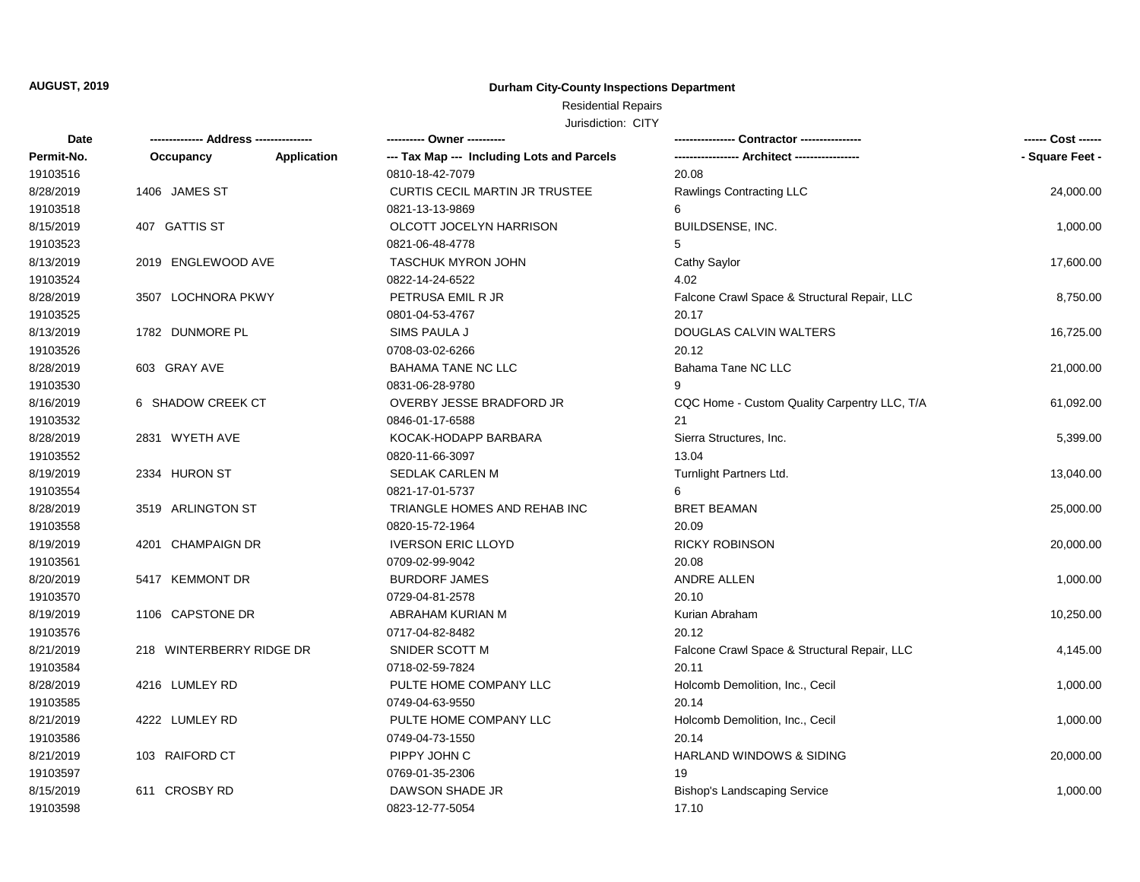## **Durham City-County Inspections Department**

# Residential Repairs

| Date       |                          |             | ---------- Owner ----------                |                                              | ------ Cost ------ |
|------------|--------------------------|-------------|--------------------------------------------|----------------------------------------------|--------------------|
| Permit-No. | Occupancy                | Application | --- Tax Map --- Including Lots and Parcels | ---------------- Architect ----------------  | - Square Feet -    |
| 19103516   |                          |             | 0810-18-42-7079                            | 20.08                                        |                    |
| 8/28/2019  | 1406 JAMES ST            |             | <b>CURTIS CECIL MARTIN JR TRUSTEE</b>      | Rawlings Contracting LLC                     | 24,000.00          |
| 19103518   |                          |             | 0821-13-13-9869                            | 6                                            |                    |
| 8/15/2019  | 407 GATTIS ST            |             | OLCOTT JOCELYN HARRISON                    | BUILDSENSE, INC.                             | 1,000.00           |
| 19103523   |                          |             | 0821-06-48-4778                            | 5                                            |                    |
| 8/13/2019  | 2019 ENGLEWOOD AVE       |             | <b>TASCHUK MYRON JOHN</b>                  | Cathy Saylor                                 | 17,600.00          |
| 19103524   |                          |             | 0822-14-24-6522                            | 4.02                                         |                    |
| 8/28/2019  | 3507 LOCHNORA PKWY       |             | PETRUSA EMIL R JR                          | Falcone Crawl Space & Structural Repair, LLC | 8,750.00           |
| 19103525   |                          |             | 0801-04-53-4767                            | 20.17                                        |                    |
| 8/13/2019  | 1782 DUNMORE PL          |             | SIMS PAULA J                               | DOUGLAS CALVIN WALTERS                       | 16,725.00          |
| 19103526   |                          |             | 0708-03-02-6266                            | 20.12                                        |                    |
| 8/28/2019  | 603 GRAY AVE             |             | <b>BAHAMA TANE NC LLC</b>                  | Bahama Tane NC LLC                           | 21,000.00          |
| 19103530   |                          |             | 0831-06-28-9780                            | 9                                            |                    |
| 8/16/2019  | 6 SHADOW CREEK CT        |             | OVERBY JESSE BRADFORD JR                   | CQC Home - Custom Quality Carpentry LLC, T/A | 61,092.00          |
| 19103532   |                          |             | 0846-01-17-6588                            | 21                                           |                    |
| 8/28/2019  | 2831 WYETH AVE           |             | KOCAK-HODAPP BARBARA                       | Sierra Structures, Inc.                      | 5,399.00           |
| 19103552   |                          |             | 0820-11-66-3097                            | 13.04                                        |                    |
| 8/19/2019  | 2334 HURON ST            |             | SEDLAK CARLEN M                            | Turnlight Partners Ltd.                      | 13,040.00          |
| 19103554   |                          |             | 0821-17-01-5737                            | 6                                            |                    |
| 8/28/2019  | 3519 ARLINGTON ST        |             | TRIANGLE HOMES AND REHAB INC               | <b>BRET BEAMAN</b>                           | 25,000.00          |
| 19103558   |                          |             | 0820-15-72-1964                            | 20.09                                        |                    |
| 8/19/2019  | 4201 CHAMPAIGN DR        |             | <b>IVERSON ERIC LLOYD</b>                  | <b>RICKY ROBINSON</b>                        | 20,000.00          |
| 19103561   |                          |             | 0709-02-99-9042                            | 20.08                                        |                    |
| 8/20/2019  | 5417 KEMMONT DR          |             | <b>BURDORF JAMES</b>                       | ANDRE ALLEN                                  | 1,000.00           |
| 19103570   |                          |             | 0729-04-81-2578                            | 20.10                                        |                    |
| 8/19/2019  | 1106 CAPSTONE DR         |             | ABRAHAM KURIAN M                           | Kurian Abraham                               | 10,250.00          |
| 19103576   |                          |             | 0717-04-82-8482                            | 20.12                                        |                    |
| 8/21/2019  | 218 WINTERBERRY RIDGE DR |             | SNIDER SCOTT M                             | Falcone Crawl Space & Structural Repair, LLC | 4,145.00           |
| 19103584   |                          |             | 0718-02-59-7824                            | 20.11                                        |                    |
| 8/28/2019  | 4216 LUMLEY RD           |             | PULTE HOME COMPANY LLC                     | Holcomb Demolition, Inc., Cecil              | 1,000.00           |
| 19103585   |                          |             | 0749-04-63-9550                            | 20.14                                        |                    |
| 8/21/2019  | 4222 LUMLEY RD           |             | PULTE HOME COMPANY LLC                     | Holcomb Demolition, Inc., Cecil              | 1,000.00           |
| 19103586   |                          |             | 0749-04-73-1550                            | 20.14                                        |                    |
| 8/21/2019  | 103 RAIFORD CT           |             | PIPPY JOHN C                               | <b>HARLAND WINDOWS &amp; SIDING</b>          | 20,000.00          |
| 19103597   |                          |             | 0769-01-35-2306                            | 19                                           |                    |
| 8/15/2019  | 611 CROSBY RD            |             | DAWSON SHADE JR                            | <b>Bishop's Landscaping Service</b>          | 1,000.00           |
| 19103598   |                          |             | 0823-12-77-5054                            | 17.10                                        |                    |